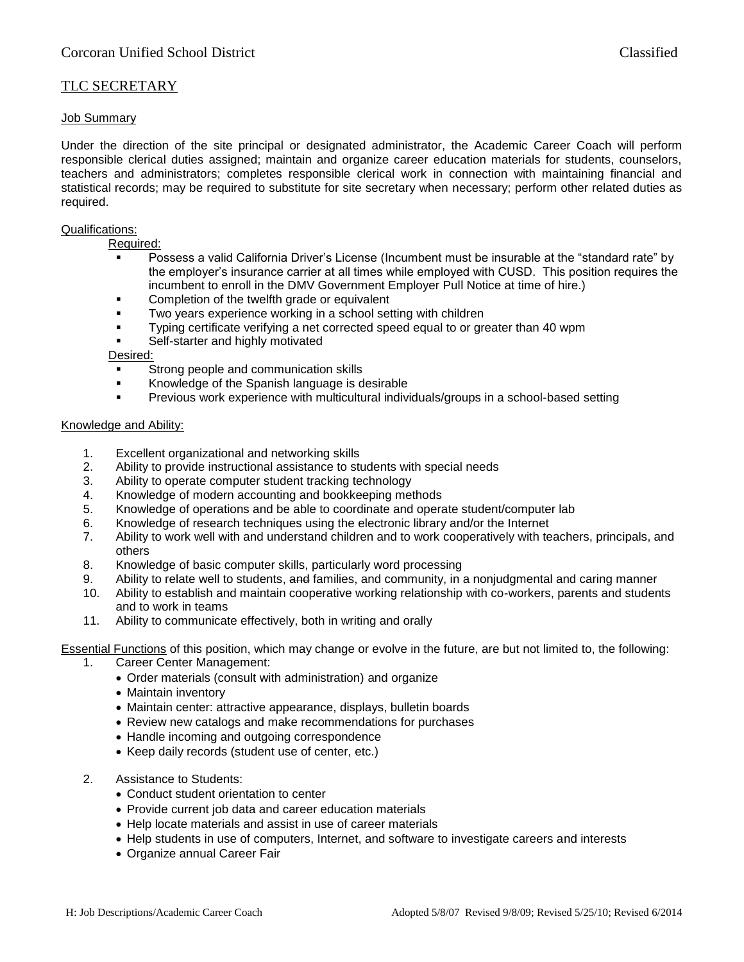# TLC SECRETARY

### Job Summary

Under the direction of the site principal or designated administrator, the Academic Career Coach will perform responsible clerical duties assigned; maintain and organize career education materials for students, counselors, teachers and administrators; completes responsible clerical work in connection with maintaining financial and statistical records; may be required to substitute for site secretary when necessary; perform other related duties as required.

#### Qualifications:

Required:

- Possess a valid California Driver's License (Incumbent must be insurable at the "standard rate" by the employer's insurance carrier at all times while employed with CUSD. This position requires the incumbent to enroll in the DMV Government Employer Pull Notice at time of hire.)
- Completion of the twelfth grade or equivalent
- Two years experience working in a school setting with children
- Typing certificate verifying a net corrected speed equal to or greater than 40 wpm
- Self-starter and highly motivated

Desired:

- Strong people and communication skills
- Knowledge of the Spanish language is desirable
- **•** Previous work experience with multicultural individuals/groups in a school-based setting

### Knowledge and Ability:

- 1. Excellent organizational and networking skills
- 2. Ability to provide instructional assistance to students with special needs
- 3. Ability to operate computer student tracking technology
- 4. Knowledge of modern accounting and bookkeeping methods
- 5. Knowledge of operations and be able to coordinate and operate student/computer lab
- 6. Knowledge of research techniques using the electronic library and/or the Internet
- 7. Ability to work well with and understand children and to work cooperatively with teachers, principals, and others
- 8. Knowledge of basic computer skills, particularly word processing
- 9. Ability to relate well to students, and families, and community, in a nonjudgmental and caring manner
- 10. Ability to establish and maintain cooperative working relationship with co-workers, parents and students and to work in teams
- 11. Ability to communicate effectively, both in writing and orally

Essential Functions of this position, which may change or evolve in the future, are but not limited to, the following:

- 1. Career Center Management:
	- Order materials (consult with administration) and organize
	- Maintain inventory
	- Maintain center: attractive appearance, displays, bulletin boards
	- Review new catalogs and make recommendations for purchases
	- Handle incoming and outgoing correspondence
	- Keep daily records (student use of center, etc.)
- 2. Assistance to Students:
	- Conduct student orientation to center
	- Provide current job data and career education materials
	- Help locate materials and assist in use of career materials
	- Help students in use of computers, Internet, and software to investigate careers and interests
	- Organize annual Career Fair